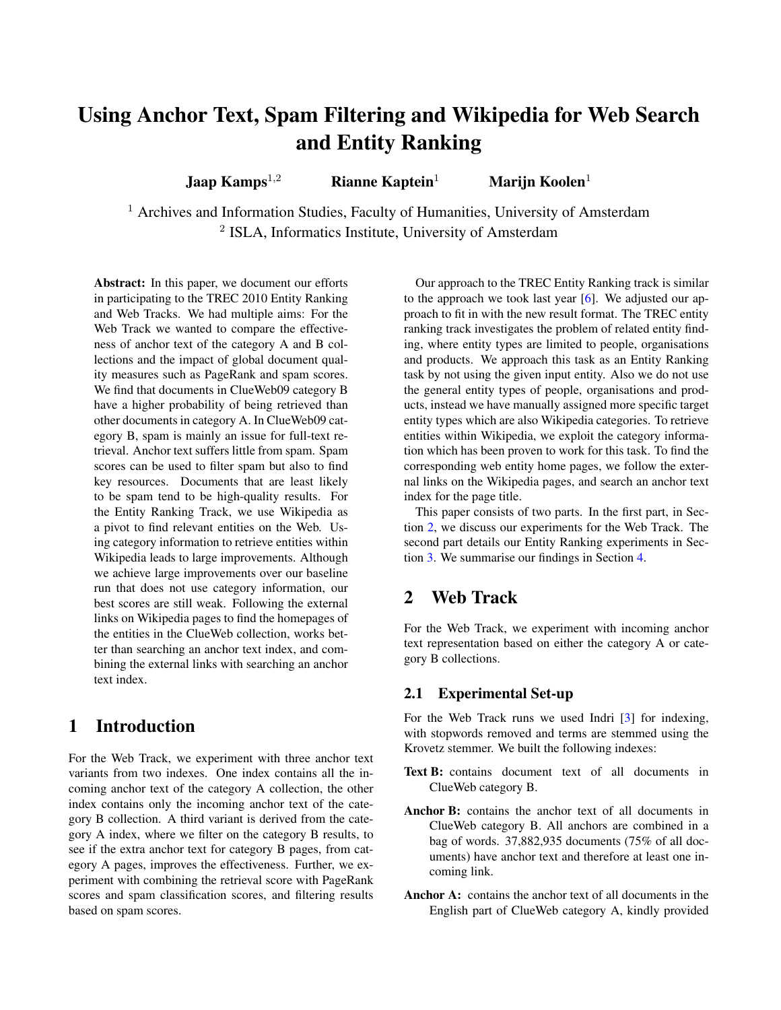# Using Anchor Text, Spam Filtering and Wikipedia for Web Search and Entity Ranking

Jaap Kamps<sup>1,2</sup> Rianne Kaptein<sup>1</sup> Marijn Koolen<sup>1</sup>

<sup>1</sup> Archives and Information Studies, Faculty of Humanities, University of Amsterdam <sup>2</sup> ISLA, Informatics Institute, University of Amsterdam

Abstract: In this paper, we document our efforts in participating to the TREC 2010 Entity Ranking and Web Tracks. We had multiple aims: For the Web Track we wanted to compare the effectiveness of anchor text of the category A and B collections and the impact of global document quality measures such as PageRank and spam scores. We find that documents in ClueWeb09 category B have a higher probability of being retrieved than other documents in category A. In ClueWeb09 category B, spam is mainly an issue for full-text retrieval. Anchor text suffers little from spam. Spam scores can be used to filter spam but also to find key resources. Documents that are least likely to be spam tend to be high-quality results. For the Entity Ranking Track, we use Wikipedia as a pivot to find relevant entities on the Web. Using category information to retrieve entities within Wikipedia leads to large improvements. Although we achieve large improvements over our baseline run that does not use category information, our best scores are still weak. Following the external links on Wikipedia pages to find the homepages of the entities in the ClueWeb collection, works better than searching an anchor text index, and combining the external links with searching an anchor text index.

# 1 Introduction

For the Web Track, we experiment with three anchor text variants from two indexes. One index contains all the incoming anchor text of the category A collection, the other index contains only the incoming anchor text of the category B collection. A third variant is derived from the category A index, where we filter on the category B results, to see if the extra anchor text for category B pages, from category A pages, improves the effectiveness. Further, we experiment with combining the retrieval score with PageRank scores and spam classification scores, and filtering results based on spam scores.

Our approach to the TREC Entity Ranking track is similar to the approach we took last year [\[6\]](#page-6-0). We adjusted our approach to fit in with the new result format. The TREC entity ranking track investigates the problem of related entity finding, where entity types are limited to people, organisations and products. We approach this task as an Entity Ranking task by not using the given input entity. Also we do not use the general entity types of people, organisations and products, instead we have manually assigned more specific target entity types which are also Wikipedia categories. To retrieve entities within Wikipedia, we exploit the category information which has been proven to work for this task. To find the corresponding web entity home pages, we follow the external links on the Wikipedia pages, and search an anchor text index for the page title.

This paper consists of two parts. In the first part, in Section [2,](#page-0-0) we discuss our experiments for the Web Track. The second part details our Entity Ranking experiments in Section [3.](#page-4-0) We summarise our findings in Section [4.](#page-5-0)

# <span id="page-0-0"></span>2 Web Track

For the Web Track, we experiment with incoming anchor text representation based on either the category A or category B collections.

### 2.1 Experimental Set-up

For the Web Track runs we used Indri [\[3\]](#page-6-1) for indexing, with stopwords removed and terms are stemmed using the Krovetz stemmer. We built the following indexes:

- Text B: contains document text of all documents in ClueWeb category B.
- Anchor B: contains the anchor text of all documents in ClueWeb category B. All anchors are combined in a bag of words. 37,882,935 documents (75% of all documents) have anchor text and therefore at least one incoming link.
- Anchor A: contains the anchor text of all documents in the English part of ClueWeb category A, kindly provided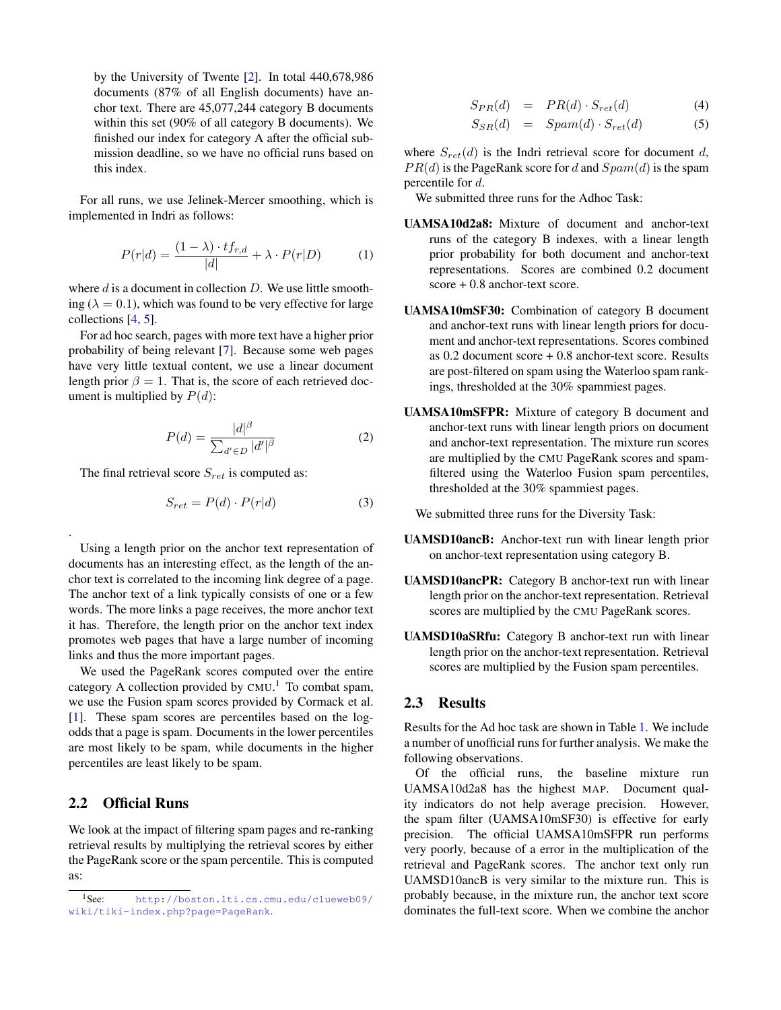by the University of Twente [\[2\]](#page-6-2). In total 440,678,986 documents (87% of all English documents) have anchor text. There are 45,077,244 category B documents within this set (90% of all category B documents). We finished our index for category A after the official submission deadline, so we have no official runs based on this index.

For all runs, we use Jelinek-Mercer smoothing, which is implemented in Indri as follows:

$$
P(r|d) = \frac{(1 - \lambda) \cdot tf_{r,d}}{|d|} + \lambda \cdot P(r|D) \tag{1}
$$

where  $d$  is a document in collection  $D$ . We use little smoothing ( $\lambda = 0.1$ ), which was found to be very effective for large collections [\[4,](#page-6-3) [5\]](#page-6-4).

For ad hoc search, pages with more text have a higher prior probability of being relevant [\[7\]](#page-6-5). Because some web pages have very little textual content, we use a linear document length prior  $\beta = 1$ . That is, the score of each retrieved document is multiplied by  $P(d)$ :

$$
P(d) = \frac{|d|^{\beta}}{\sum_{d' \in D} |d'|^{\beta}} \tag{2}
$$

The final retrieval score  $S_{ret}$  is computed as:

$$
S_{ret} = P(d) \cdot P(r|d)
$$
 (3)

Using a length prior on the anchor text representation of documents has an interesting effect, as the length of the anchor text is correlated to the incoming link degree of a page. The anchor text of a link typically consists of one or a few words. The more links a page receives, the more anchor text it has. Therefore, the length prior on the anchor text index promotes web pages that have a large number of incoming links and thus the more important pages.

We used the PageRank scores computed over the entire category A collection provided by  $CMU<sup>1</sup>$ . To combat spam, we use the Fusion spam scores provided by Cormack et al. [\[1\]](#page-6-6). These spam scores are percentiles based on the logodds that a page is spam. Documents in the lower percentiles are most likely to be spam, while documents in the higher percentiles are least likely to be spam.

### 2.2 Official Runs

.

We look at the impact of filtering spam pages and re-ranking retrieval results by multiplying the retrieval scores by either the PageRank score or the spam percentile. This is computed as:

$$
S_{PR}(d) = PR(d) \cdot S_{ret}(d) \tag{4}
$$

$$
S_{SR}(d) = Span(d) \cdot S_{ret}(d) \tag{5}
$$

where  $S_{ret}(d)$  is the Indri retrieval score for document d,  $PR(d)$  is the PageRank score for d and  $Spam(d)$  is the spam percentile for d.

We submitted three runs for the Adhoc Task:

- UAMSA10d2a8: Mixture of document and anchor-text runs of the category B indexes, with a linear length prior probability for both document and anchor-text representations. Scores are combined 0.2 document score + 0.8 anchor-text score.
- UAMSA10mSF30: Combination of category B document and anchor-text runs with linear length priors for document and anchor-text representations. Scores combined as 0.2 document score + 0.8 anchor-text score. Results are post-filtered on spam using the Waterloo spam rankings, thresholded at the 30% spammiest pages.
- UAMSA10mSFPR: Mixture of category B document and anchor-text runs with linear length priors on document and anchor-text representation. The mixture run scores are multiplied by the CMU PageRank scores and spamfiltered using the Waterloo Fusion spam percentiles, thresholded at the 30% spammiest pages.

We submitted three runs for the Diversity Task:

- UAMSD10ancB: Anchor-text run with linear length prior on anchor-text representation using category B.
- UAMSD10ancPR: Category B anchor-text run with linear length prior on the anchor-text representation. Retrieval scores are multiplied by the CMU PageRank scores.
- UAMSD10aSRfu: Category B anchor-text run with linear length prior on the anchor-text representation. Retrieval scores are multiplied by the Fusion spam percentiles.

#### 2.3 Results

Results for the Ad hoc task are shown in Table [1.](#page-2-0) We include a number of unofficial runs for further analysis. We make the following observations.

Of the official runs, the baseline mixture run UAMSA10d2a8 has the highest MAP. Document quality indicators do not help average precision. However, the spam filter (UAMSA10mSF30) is effective for early precision. The official UAMSA10mSFPR run performs very poorly, because of a error in the multiplication of the retrieval and PageRank scores. The anchor text only run UAMSD10ancB is very similar to the mixture run. This is probably because, in the mixture run, the anchor text score dominates the full-text score. When we combine the anchor

<sup>1</sup>See: [http://boston.lti.cs.cmu.edu/clueweb09/](http://boston.lti.cs.cmu.edu/clueweb09/wiki/tiki-index.php?page=PageRank) [wiki/tiki-index.php?page=PageRank](http://boston.lti.cs.cmu.edu/clueweb09/wiki/tiki-index.php?page=PageRank).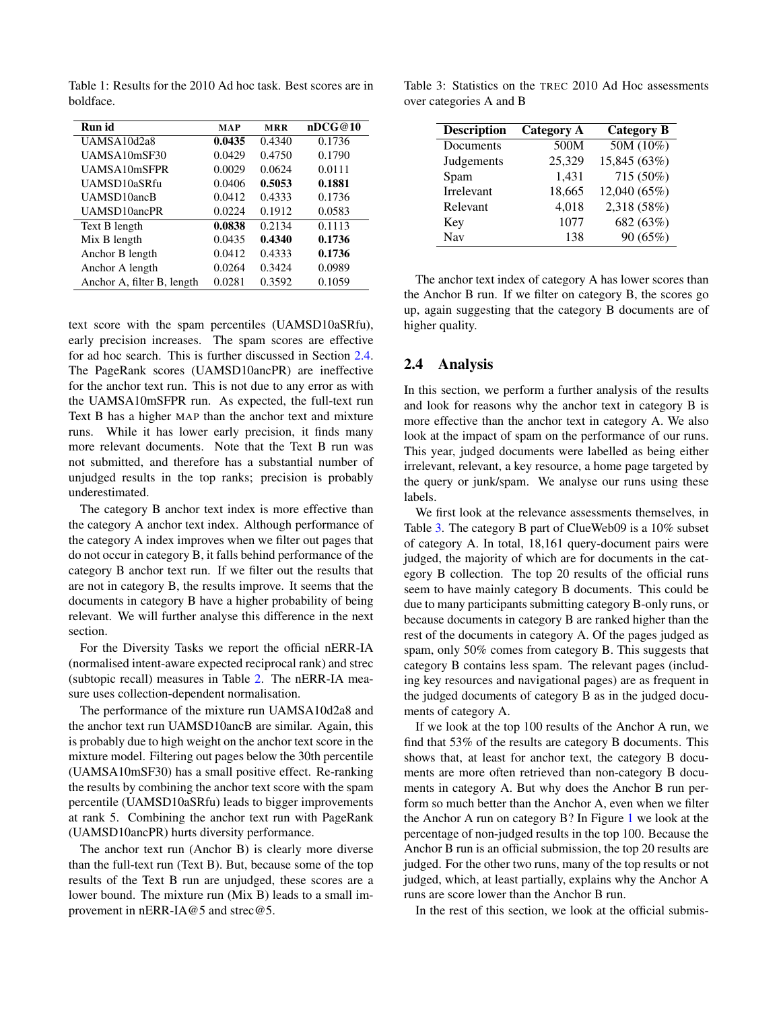| Run id                     | <b>MAP</b> | <b>MRR</b> | nDCG@10 |
|----------------------------|------------|------------|---------|
| UAMSA10d2a8                | 0.0435     | 0.4340     | 0.1736  |
| UAMSA10mSF30               | 0.0429     | 0.4750     | 0.1790  |
| UAMSA10mSFPR               | 0.0029     | 0.0624     | 0.0111  |
| UAMSD10aSRfu               | 0.0406     | 0.5053     | 0.1881  |
| UAMSD10ancB                | 0.0412     | 0.4333     | 0.1736  |
| UAMSD10ancPR               | 0.0224     | 0.1912     | 0.0583  |
| Text B length              | 0.0838     | 0.2134     | 0.1113  |
| Mix B length               | 0.0435     | 0.4340     | 0.1736  |
| Anchor B length            | 0.0412     | 0.4333     | 0.1736  |
| Anchor A length            | 0.0264     | 0.3424     | 0.0989  |
| Anchor A, filter B, length | 0.0281     | 0.3592     | 0.1059  |

<span id="page-2-0"></span>Table 1: Results for the 2010 Ad hoc task. Best scores are in boldface.

text score with the spam percentiles (UAMSD10aSRfu), early precision increases. The spam scores are effective for ad hoc search. This is further discussed in Section [2.4.](#page-2-1) The PageRank scores (UAMSD10ancPR) are ineffective for the anchor text run. This is not due to any error as with the UAMSA10mSFPR run. As expected, the full-text run Text B has a higher MAP than the anchor text and mixture runs. While it has lower early precision, it finds many more relevant documents. Note that the Text B run was not submitted, and therefore has a substantial number of unjudged results in the top ranks; precision is probably underestimated.

The category B anchor text index is more effective than the category A anchor text index. Although performance of the category A index improves when we filter out pages that do not occur in category B, it falls behind performance of the category B anchor text run. If we filter out the results that are not in category B, the results improve. It seems that the documents in category B have a higher probability of being relevant. We will further analyse this difference in the next section.

For the Diversity Tasks we report the official nERR-IA (normalised intent-aware expected reciprocal rank) and strec (subtopic recall) measures in Table [2.](#page-3-0) The nERR-IA measure uses collection-dependent normalisation.

The performance of the mixture run UAMSA10d2a8 and the anchor text run UAMSD10ancB are similar. Again, this is probably due to high weight on the anchor text score in the mixture model. Filtering out pages below the 30th percentile (UAMSA10mSF30) has a small positive effect. Re-ranking the results by combining the anchor text score with the spam percentile (UAMSD10aSRfu) leads to bigger improvements at rank 5. Combining the anchor text run with PageRank (UAMSD10ancPR) hurts diversity performance.

The anchor text run (Anchor B) is clearly more diverse than the full-text run (Text B). But, because some of the top results of the Text B run are unjudged, these scores are a lower bound. The mixture run (Mix B) leads to a small improvement in nERR-IA@5 and strec@5.

<span id="page-2-2"></span>Table 3: Statistics on the TREC 2010 Ad Hoc assessments over categories A and B

| <b>Description</b> | <b>Category A</b> | <b>Category B</b> |
|--------------------|-------------------|-------------------|
| Documents          | 500M              | 50M(10%)          |
| Judgements         | 25,329            | 15,845 (63%)      |
| Spam               | 1,431             | 715 (50%)         |
| Irrelevant         | 18,665            | 12,040 (65%)      |
| Relevant           | 4,018             | 2,318 (58%)       |
| Key                | 1077              | 682 (63%)         |
| <b>Nav</b>         | 138               | 90 (65%)          |

The anchor text index of category A has lower scores than the Anchor B run. If we filter on category B, the scores go up, again suggesting that the category B documents are of higher quality.

#### <span id="page-2-1"></span>2.4 Analysis

In this section, we perform a further analysis of the results and look for reasons why the anchor text in category B is more effective than the anchor text in category A. We also look at the impact of spam on the performance of our runs. This year, judged documents were labelled as being either irrelevant, relevant, a key resource, a home page targeted by the query or junk/spam. We analyse our runs using these labels.

We first look at the relevance assessments themselves, in Table [3.](#page-2-2) The category B part of ClueWeb09 is a 10% subset of category A. In total, 18,161 query-document pairs were judged, the majority of which are for documents in the category B collection. The top 20 results of the official runs seem to have mainly category B documents. This could be due to many participants submitting category B-only runs, or because documents in category B are ranked higher than the rest of the documents in category A. Of the pages judged as spam, only 50% comes from category B. This suggests that category B contains less spam. The relevant pages (including key resources and navigational pages) are as frequent in the judged documents of category B as in the judged documents of category A.

If we look at the top 100 results of the Anchor A run, we find that 53% of the results are category B documents. This shows that, at least for anchor text, the category B documents are more often retrieved than non-category B documents in category A. But why does the Anchor B run perform so much better than the Anchor A, even when we filter the Anchor A run on category B? In Figure [1](#page-3-1) we look at the percentage of non-judged results in the top 100. Because the Anchor B run is an official submission, the top 20 results are judged. For the other two runs, many of the top results or not judged, which, at least partially, explains why the Anchor A runs are score lower than the Anchor B run.

In the rest of this section, we look at the official submis-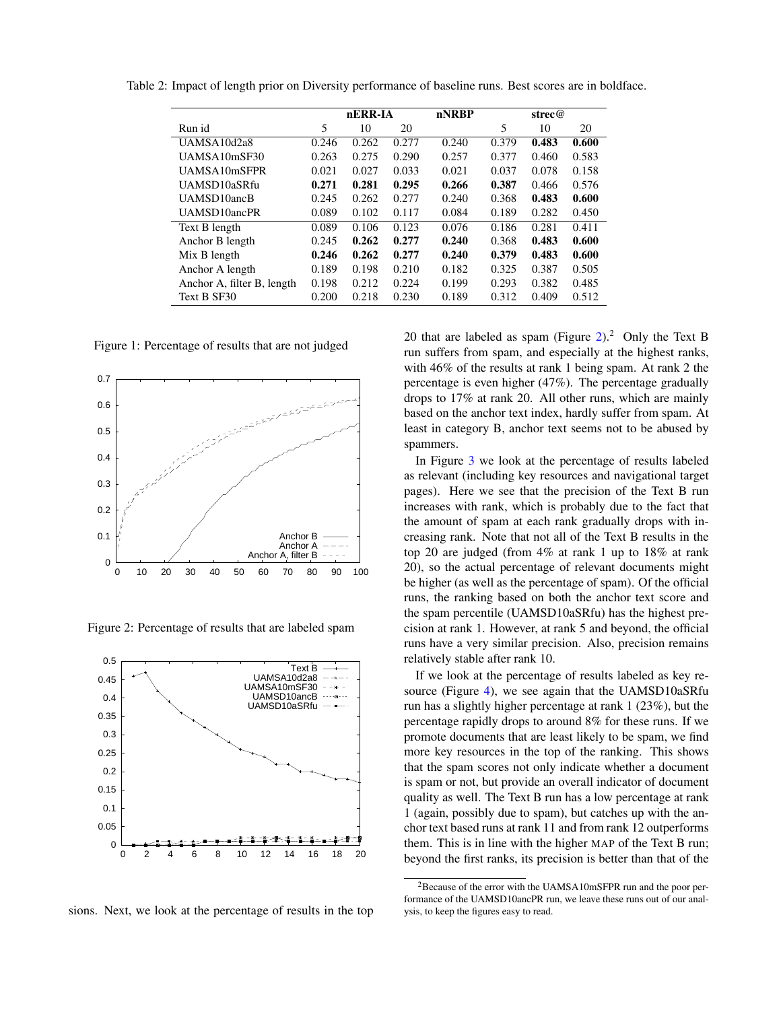<span id="page-3-0"></span>

|                            |       | nERR-IA |       | nNRBP |       | strec@ |       |
|----------------------------|-------|---------|-------|-------|-------|--------|-------|
| Run id                     | 5     | 10      | 20    |       | 5     | 10     | 20    |
| UAMSA10d2a8                | 0.246 | 0.262   | 0.277 | 0.240 | 0.379 | 0.483  | 0.600 |
| UAMSA10mSF30               | 0.263 | 0.275   | 0.290 | 0.257 | 0.377 | 0.460  | 0.583 |
| UAMSA10mSFPR               | 0.021 | 0.027   | 0.033 | 0.021 | 0.037 | 0.078  | 0.158 |
| UAMSD10aSRfu               | 0.271 | 0.281   | 0.295 | 0.266 | 0.387 | 0.466  | 0.576 |
| UAMSD10ancB                | 0.245 | 0.262   | 0.277 | 0.240 | 0.368 | 0.483  | 0.600 |
| UAMSD10ancPR               | 0.089 | 0.102   | 0.117 | 0.084 | 0.189 | 0.282  | 0.450 |
| Text B length              | 0.089 | 0.106   | 0.123 | 0.076 | 0.186 | 0.281  | 0.411 |
| Anchor B length            | 0.245 | 0.262   | 0.277 | 0.240 | 0.368 | 0.483  | 0.600 |
| Mix B length               | 0.246 | 0.262   | 0.277 | 0.240 | 0.379 | 0.483  | 0.600 |
| Anchor A length            | 0.189 | 0.198   | 0.210 | 0.182 | 0.325 | 0.387  | 0.505 |
| Anchor A, filter B, length | 0.198 | 0.212   | 0.224 | 0.199 | 0.293 | 0.382  | 0.485 |
| Text B SF30                | 0.200 | 0.218   | 0.230 | 0.189 | 0.312 | 0.409  | 0.512 |

Table 2: Impact of length prior on Diversity performance of baseline runs. Best scores are in boldface.

<span id="page-3-1"></span>Figure 1: Percentage of results that are not judged



<span id="page-3-2"></span>Figure 2: Percentage of results that are labeled spam



sions. Next, we look at the percentage of results in the top

20 that are labeled as spam (Figure [2\)](#page-3-2).<sup>2</sup> Only the Text B run suffers from spam, and especially at the highest ranks, with 46% of the results at rank 1 being spam. At rank 2 the percentage is even higher (47%). The percentage gradually drops to 17% at rank 20. All other runs, which are mainly based on the anchor text index, hardly suffer from spam. At least in category B, anchor text seems not to be abused by spammers.

In Figure [3](#page-4-1) we look at the percentage of results labeled as relevant (including key resources and navigational target pages). Here we see that the precision of the Text B run increases with rank, which is probably due to the fact that the amount of spam at each rank gradually drops with increasing rank. Note that not all of the Text B results in the top 20 are judged (from 4% at rank 1 up to 18% at rank 20), so the actual percentage of relevant documents might be higher (as well as the percentage of spam). Of the official runs, the ranking based on both the anchor text score and the spam percentile (UAMSD10aSRfu) has the highest precision at rank 1. However, at rank 5 and beyond, the official runs have a very similar precision. Also, precision remains relatively stable after rank 10.

If we look at the percentage of results labeled as key re-source (Figure [4\)](#page-4-2), we see again that the UAMSD10aSRfu run has a slightly higher percentage at rank 1 (23%), but the percentage rapidly drops to around 8% for these runs. If we promote documents that are least likely to be spam, we find more key resources in the top of the ranking. This shows that the spam scores not only indicate whether a document is spam or not, but provide an overall indicator of document quality as well. The Text B run has a low percentage at rank 1 (again, possibly due to spam), but catches up with the anchor text based runs at rank 11 and from rank 12 outperforms them. This is in line with the higher MAP of the Text B run; beyond the first ranks, its precision is better than that of the

<sup>2</sup>Because of the error with the UAMSA10mSFPR run and the poor performance of the UAMSD10ancPR run, we leave these runs out of our analysis, to keep the figures easy to read.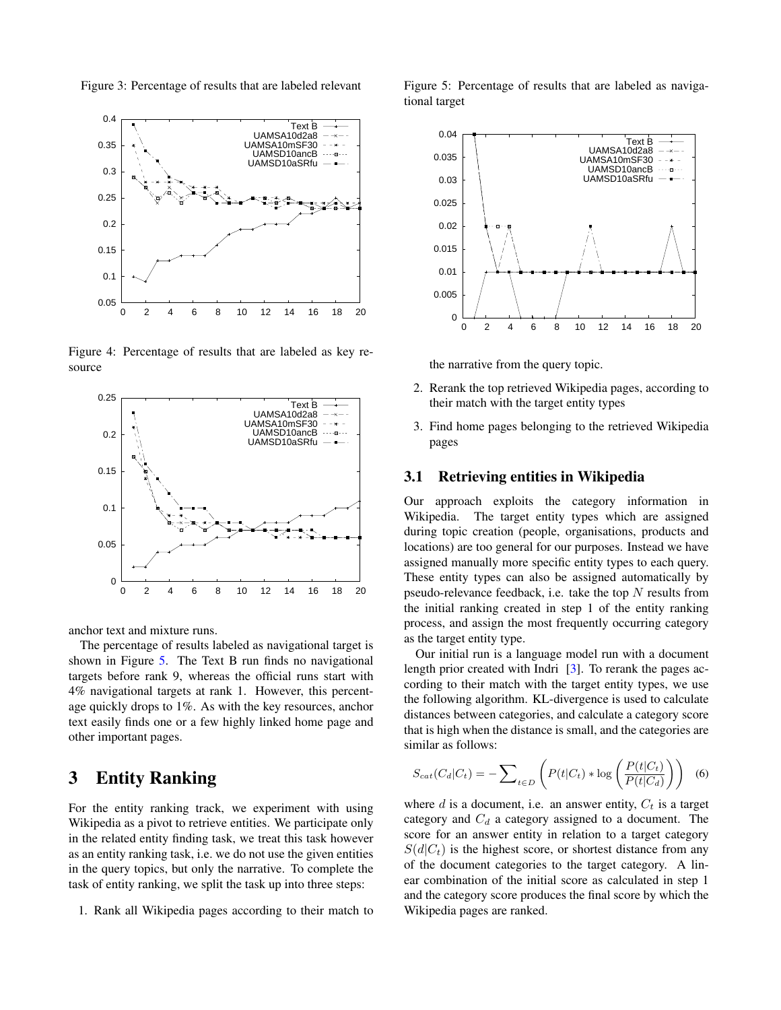<span id="page-4-1"></span>Figure 3: Percentage of results that are labeled relevant



<span id="page-4-2"></span>Figure 4: Percentage of results that are labeled as key resource



anchor text and mixture runs.

The percentage of results labeled as navigational target is shown in Figure [5.](#page-4-3) The Text B run finds no navigational targets before rank 9, whereas the official runs start with 4% navigational targets at rank 1. However, this percentage quickly drops to 1%. As with the key resources, anchor text easily finds one or a few highly linked home page and other important pages.

# <span id="page-4-0"></span>3 Entity Ranking

For the entity ranking track, we experiment with using Wikipedia as a pivot to retrieve entities. We participate only in the related entity finding task, we treat this task however as an entity ranking task, i.e. we do not use the given entities in the query topics, but only the narrative. To complete the task of entity ranking, we split the task up into three steps:

1. Rank all Wikipedia pages according to their match to

<span id="page-4-3"></span>Figure 5: Percentage of results that are labeled as navigational target



the narrative from the query topic.

- 2. Rerank the top retrieved Wikipedia pages, according to their match with the target entity types
- 3. Find home pages belonging to the retrieved Wikipedia pages

#### 3.1 Retrieving entities in Wikipedia

Our approach exploits the category information in Wikipedia. The target entity types which are assigned during topic creation (people, organisations, products and locations) are too general for our purposes. Instead we have assigned manually more specific entity types to each query. These entity types can also be assigned automatically by pseudo-relevance feedback, i.e. take the top  $N$  results from the initial ranking created in step 1 of the entity ranking process, and assign the most frequently occurring category as the target entity type.

Our initial run is a language model run with a document length prior created with Indri [\[3\]](#page-6-1). To rerank the pages according to their match with the target entity types, we use the following algorithm. KL-divergence is used to calculate distances between categories, and calculate a category score that is high when the distance is small, and the categories are similar as follows:

$$
S_{cat}(C_d|C_t) = -\sum_{t \in D} \left( P(t|C_t) * \log \left( \frac{P(t|C_t)}{P(t|C_d)} \right) \right) \tag{6}
$$

where  $d$  is a document, i.e. an answer entity,  $C_t$  is a target category and  $C_d$  a category assigned to a document. The score for an answer entity in relation to a target category  $S(d|C_t)$  is the highest score, or shortest distance from any of the document categories to the target category. A linear combination of the initial score as calculated in step 1 and the category score produces the final score by which the Wikipedia pages are ranked.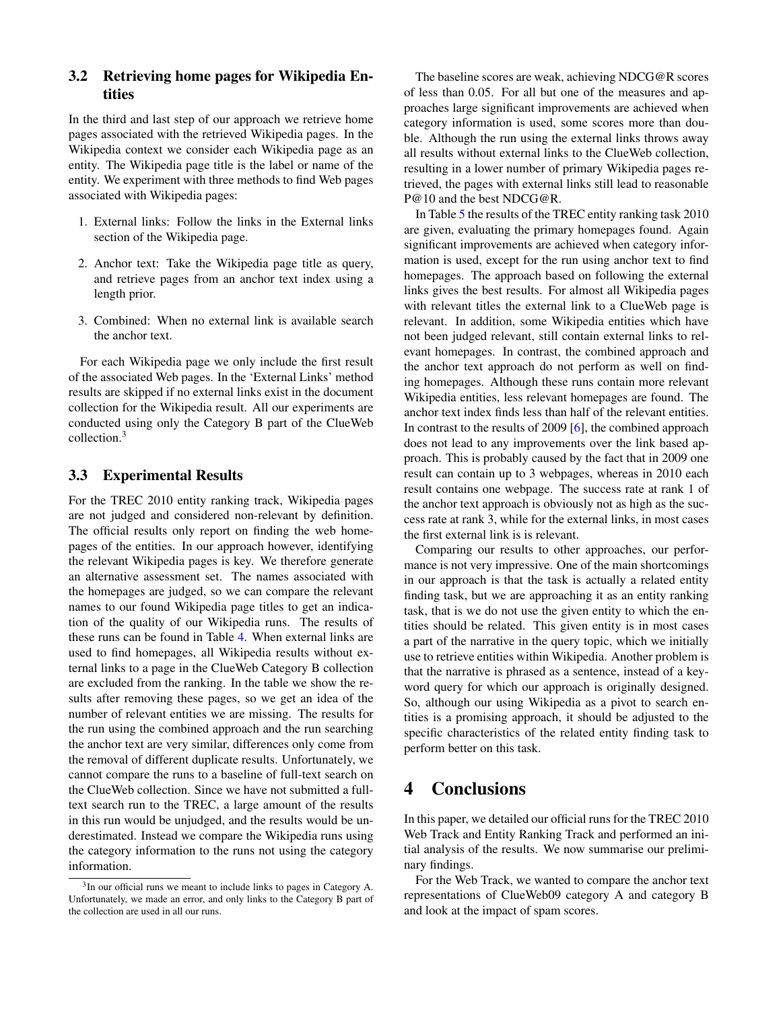### 3.2 Retrieving home pages for Wikipedia Entities

In the third and last step of our approach we retrieve home pages associated with the retrieved Wikipedia pages. In the Wikipedia context we consider each Wikipedia page as an entity. The Wikipedia page title is the label or name of the entity. We experiment with three methods to find Web pages associated with Wikipedia pages:

- 1. External links: Follow the links in the External links section of the Wikipedia page.
- 2. Anchor text: Take the Wikipedia page title as query, and retrieve pages from an anchor text index using a length prior.
- 3. Combined: When no external link is available search the anchor text.

For each Wikipedia page we only include the first result of the associated Web pages. In the 'External Links' method results are skipped if no external links exist in the document collection for the Wikipedia result. All our experiments are conducted using only the Category B part of the ClueWeb collection.<sup>3</sup>

#### 3.3 Experimental Results

For the TREC 2010 entity ranking track, Wikipedia pages are not judged and considered non-relevant by definition. The official results only report on finding the web homepages of the entities. In our approach however, identifying the relevant Wikipedia pages is key. We therefore generate an alternative assessment set. The names associated with the homepages are judged, so we can compare the relevant names to our found Wikipedia page titles to get an indication of the quality of our Wikipedia runs. The results of these runs can be found in Table [4.](#page-6-7) When external links are used to find homepages, all Wikipedia results without external links to a page in the ClueWeb Category B collection are excluded from the ranking. In the table we show the results after removing these pages, so we get an idea of the number of relevant entities we are missing. The results for the run using the combined approach and the run searching the anchor text are very similar, differences only come from the removal of different duplicate results. Unfortunately, we cannot compare the runs to a baseline of full-text search on the ClueWeb collection. Since we have not submitted a fulltext search run to the TREC, a large amount of the results in this run would be unjudged, and the results would be underestimated. Instead we compare the Wikipedia runs using the category information to the runs not using the category information.

The baseline scores are weak, achieving NDCG@R scores of less than 0.05. For all but one of the measures and approaches large significant improvements are achieved when category information is used, some scores more than double. Although the run using the external links throws away all results without external links to the ClueWeb collection, resulting in a lower number of primary Wikipedia pages retrieved, the pages with external links still lead to reasonable P@10 and the best NDCG@R.

In Table [5](#page-6-8) the results of the TREC entity ranking task 2010 are given, evaluating the primary homepages found. Again significant improvements are achieved when category information is used, except for the run using anchor text to find homepages. The approach based on following the external links gives the best results. For almost all Wikipedia pages with relevant titles the external link to a ClueWeb page is relevant. In addition, some Wikipedia entities which have not been judged relevant, still contain external links to relevant homepages. In contrast, the combined approach and the anchor text approach do not perform as well on finding homepages. Although these runs contain more relevant Wikipedia entities, less relevant homepages are found. The anchor text index finds less than half of the relevant entities. In contrast to the results of 2009 [\[6\]](#page-6-0), the combined approach does not lead to any improvements over the link based approach. This is probably caused by the fact that in 2009 one result can contain up to 3 webpages, whereas in 2010 each result contains one webpage. The success rate at rank 1 of the anchor text approach is obviously not as high as the success rate at rank 3, while for the external links, in most cases the first external link is is relevant.

Comparing our results to other approaches, our performance is not very impressive. One of the main shortcomings in our approach is that the task is actually a related entity finding task, but we are approaching it as an entity ranking task, that is we do not use the given entity to which the entities should be related. This given entity is in most cases a part of the narrative in the query topic, which we initially use to retrieve entities within Wikipedia. Another problem is that the narrative is phrased as a sentence, instead of a keyword query for which our approach is originally designed. So, although our using Wikipedia as a pivot to search entities is a promising approach, it should be adjusted to the specific characteristics of the related entity finding task to perform better on this task.

### <span id="page-5-0"></span>4 Conclusions

In this paper, we detailed our official runs for the TREC 2010 Web Track and Entity Ranking Track and performed an initial analysis of the results. We now summarise our preliminary findings.

For the Web Track, we wanted to compare the anchor text representations of ClueWeb09 category A and category B and look at the impact of spam scores.

<sup>&</sup>lt;sup>3</sup>In our official runs we meant to include links to pages in Category A. Unfortunately, we made an error, and only links to the Category B part of the collection are used in all our runs.